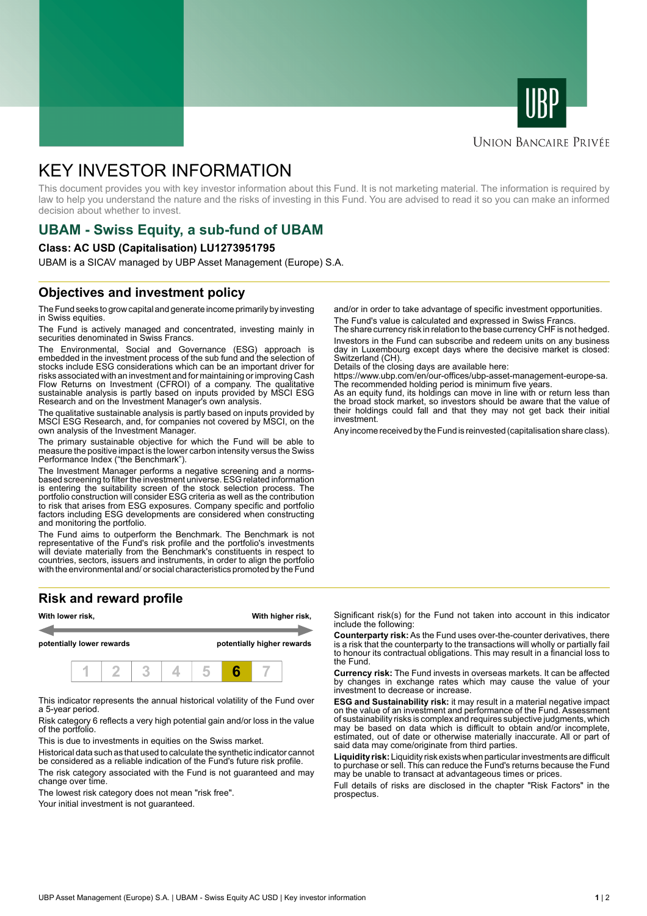



#### **UNION BANCAIRE PRIVÉE**

# KEY INVESTOR INFORMATION

This document provides you with key investor information about this Fund. It is not marketing material. The information is required by law to help you understand the nature and the risks of investing in this Fund. You are advised to read it so you can make an informed decision about whether to invest.

# **UBAM - Swiss Equity, a sub-fund of UBAM**

#### **Class: AC USD (Capitalisation) LU1273951795**

UBAM is a SICAV managed by UBP Asset Management (Europe) S.A.

### **Objectives and investment policy**

The Fund seeks to grow capital and generate income primarily by investing in Swiss equities.

The Fund is actively managed and concentrated, investing mainly in securities denominated in Swiss Francs.

The Environmental, Social and Governance (ESG) approach is embedded in the investment process of the sub fund and the selection of stocks include ESG considerations which can be an important driver for risks associated with an investment and for maintaining or improving Cash Flow Returns on Investment (CFROI) of a company. The qualitative sustainable analysis is partly based on inputs provided by MSCI ESG Research and on the Investment Manager's own analysis.

The qualitative sustainable analysis is partly based on inputs provided by MSCI ESG Research, and, for companies not covered by MSCI, on the own analysis of the Investment Manager.

The primary sustainable objective for which the Fund will be able to measure the positive impact is the lower carbon intensity versus the Swiss Performance Index ("the Benchmark").

The Investment Manager performs a negative screening and a normsbased screening to filter the investment universe. ESG related information is entering the suitability screen of the stock selection process. The portfolio construction will consider ESG criteria as well as the contribution to risk that arises from ESG exposures. Company specific and portfolio factors including ESG developments are considered when constructing and monitoring the portfolio.

The Fund aims to outperform the Benchmark. The Benchmark is not representative of the Fund's risk profile and the portfolio's investments will deviate materially from the Benchmark's constituents in respect to countries, sectors, issuers and instruments, in order to align the portfolio with the environmental and/ or social characteristics promoted by the Fund

## **Risk and reward profile**



This indicator represents the annual historical volatility of the Fund over a 5-year period.

Risk category 6 reflects a very high potential gain and/or loss in the value of the portfolio.

This is due to investments in equities on the Swiss market.

Historical data such as that used to calculate the synthetic indicator cannot be considered as a reliable indication of the Fund's future risk profile. The risk category associated with the Fund is not guaranteed and may change over time.

The lowest risk category does not mean "risk free".

Your initial investment is not guaranteed.

and/or in order to take advantage of specific investment opportunities. The Fund's value is calculated and expressed in Swiss Francs.

The share currency risk in relation to the base currency CHF is not hedged. Investors in the Fund can subscribe and redeem units on any business day in Luxembourg except days where the decisive market is closed: Switzerland (CH).

Details of the closing days are available here:

https://www.ubp.com/en/our-offices/ubp-asset-management-europe-sa. The recommended holding period is minimum five years.

As an equity fund, its holdings can move in line with or return less than the broad stock market, so investors should be aware that the value of their holdings could fall and that they may not get back their initial investment.

Any income received by the Fund is reinvested (capitalisation share class).

Significant risk(s) for the Fund not taken into account in this indicator include the following:

**Counterparty risk:** As the Fund uses over-the-counter derivatives, there is a risk that the counterparty to the transactions will wholly or partially fail to honour its contractual obligations. This may result in a financial loss to the Fund.

**Currency risk:** The Fund invests in overseas markets. It can be affected by changes in exchange rates which may cause the value of your investment to decrease or increase.

**ESG and Sustainability risk:** it may result in a material negative impact on the value of an investment and performance of the Fund. Assessment of sustainability risks is complex and requires subjective judgments, which may be based on data which is difficult to obtain and/or incomplete, estimated, out of date or otherwise materially inaccurate. All or part of said data may come/originate from third parties.

**Liquidity risk:** Liquidity risk exists when particular investments are difficult to purchase or sell. This can reduce the Fund's returns because the Fund may be unable to transact at advantageous times or prices.

Full details of risks are disclosed in the chapter "Risk Factors" in the prospectus.